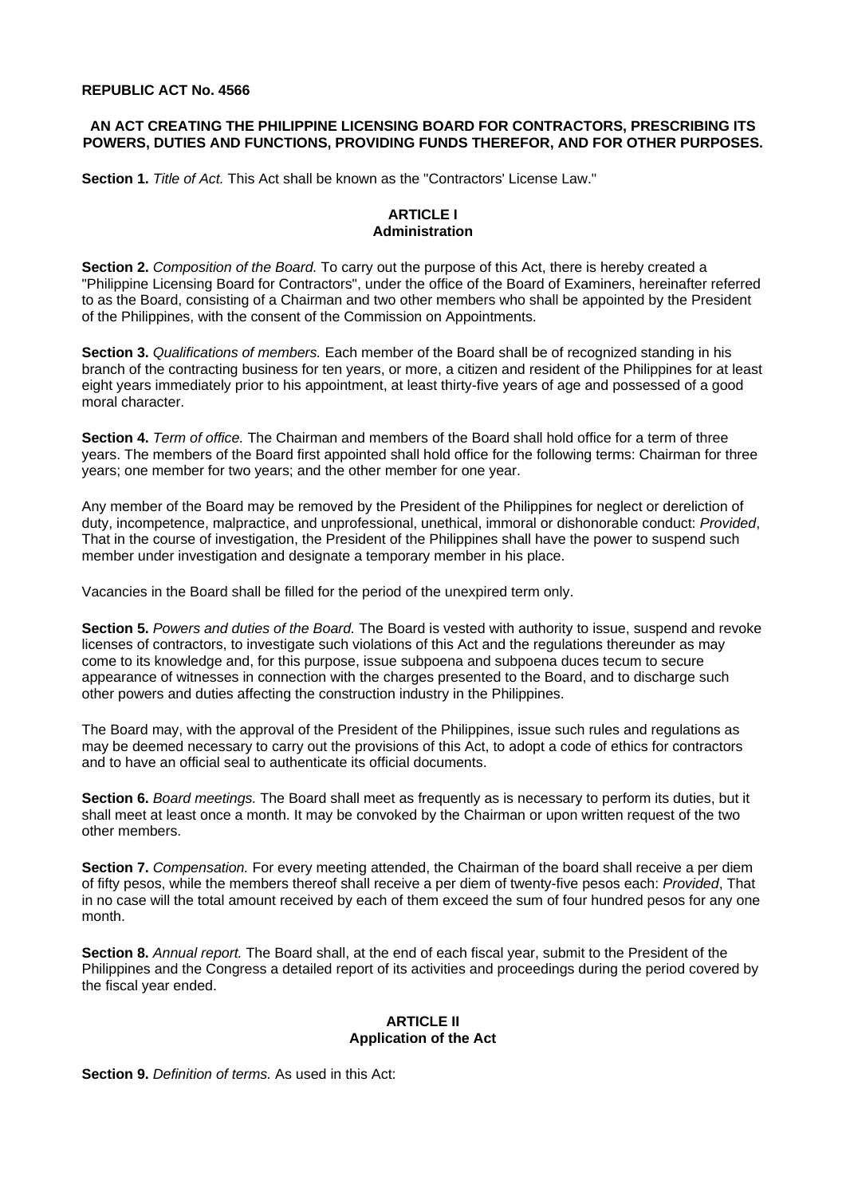#### **REPUBLIC ACT No. 4566**

### **AN ACT CREATING THE PHILIPPINE LICENSING BOARD FOR CONTRACTORS, PRESCRIBING ITS POWERS, DUTIES AND FUNCTIONS, PROVIDING FUNDS THEREFOR, AND FOR OTHER PURPOSES.**

**Section 1.** *Title of Act.* This Act shall be known as the "Contractors' License Law."

## **ARTICLE I Administration**

**Section 2.** *Composition of the Board.* To carry out the purpose of this Act, there is hereby created a "Philippine Licensing Board for Contractors", under the office of the Board of Examiners, hereinafter referred to as the Board, consisting of a Chairman and two other members who shall be appointed by the President of the Philippines, with the consent of the Commission on Appointments.

**Section 3.** *Qualifications of members.* Each member of the Board shall be of recognized standing in his branch of the contracting business for ten years, or more, a citizen and resident of the Philippines for at least eight years immediately prior to his appointment, at least thirty-five years of age and possessed of a good moral character.

**Section 4.** *Term of office.* The Chairman and members of the Board shall hold office for a term of three years. The members of the Board first appointed shall hold office for the following terms: Chairman for three years; one member for two years; and the other member for one year.

Any member of the Board may be removed by the President of the Philippines for neglect or dereliction of duty, incompetence, malpractice, and unprofessional, unethical, immoral or dishonorable conduct: *Provided*, That in the course of investigation, the President of the Philippines shall have the power to suspend such member under investigation and designate a temporary member in his place.

Vacancies in the Board shall be filled for the period of the unexpired term only.

**Section 5.** *Powers and duties of the Board.* The Board is vested with authority to issue, suspend and revoke licenses of contractors, to investigate such violations of this Act and the regulations thereunder as may come to its knowledge and, for this purpose, issue subpoena and subpoena duces tecum to secure appearance of witnesses in connection with the charges presented to the Board, and to discharge such other powers and duties affecting the construction industry in the Philippines.

The Board may, with the approval of the President of the Philippines, issue such rules and regulations as may be deemed necessary to carry out the provisions of this Act, to adopt a code of ethics for contractors and to have an official seal to authenticate its official documents.

**Section 6.** *Board meetings.* The Board shall meet as frequently as is necessary to perform its duties, but it shall meet at least once a month. It may be convoked by the Chairman or upon written request of the two other members.

**Section 7.** *Compensation.* For every meeting attended, the Chairman of the board shall receive a per diem of fifty pesos, while the members thereof shall receive a per diem of twenty-five pesos each: *Provided*, That in no case will the total amount received by each of them exceed the sum of four hundred pesos for any one month.

**Section 8.** *Annual report.* The Board shall, at the end of each fiscal year, submit to the President of the Philippines and the Congress a detailed report of its activities and proceedings during the period covered by the fiscal year ended.

#### **ARTICLE II Application of the Act**

**Section 9.** *Definition of terms.* As used in this Act: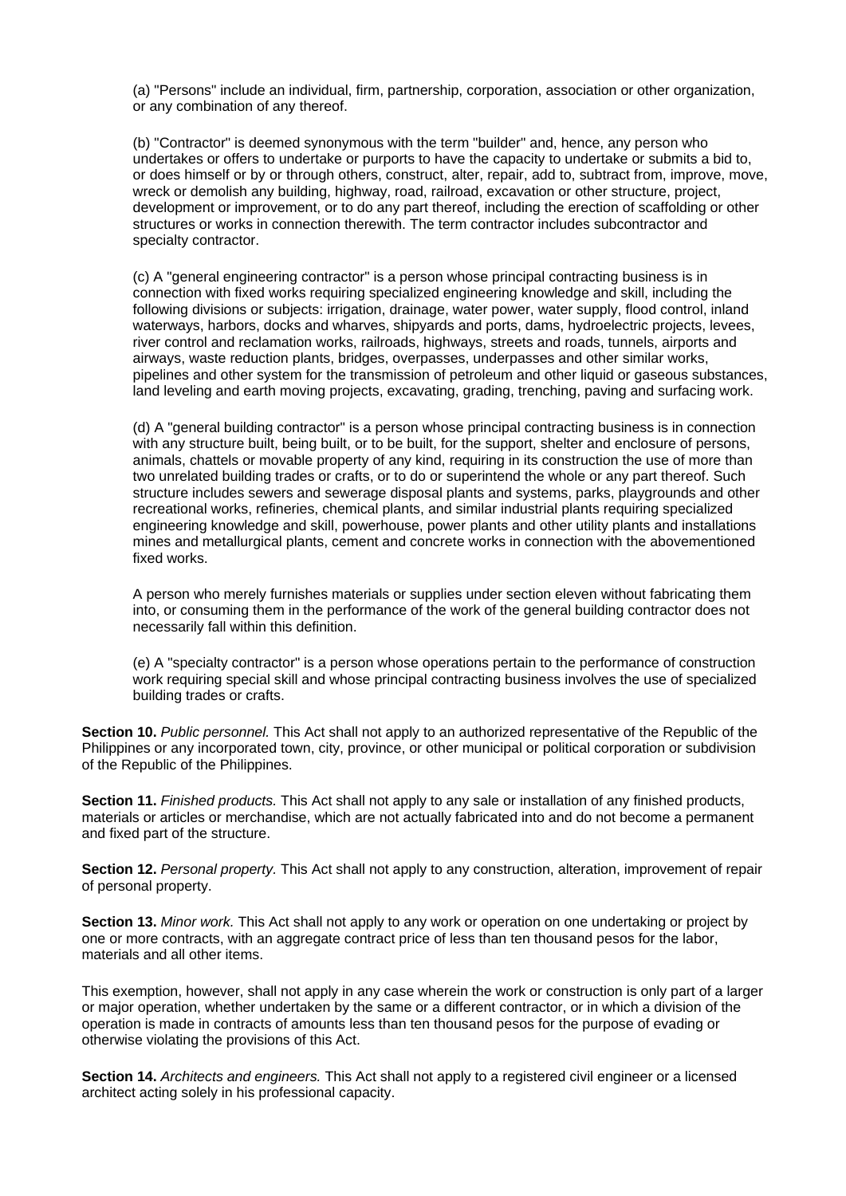(a) "Persons" include an individual, firm, partnership, corporation, association or other organization, or any combination of any thereof.

(b) "Contractor" is deemed synonymous with the term "builder" and, hence, any person who undertakes or offers to undertake or purports to have the capacity to undertake or submits a bid to, or does himself or by or through others, construct, alter, repair, add to, subtract from, improve, move, wreck or demolish any building, highway, road, railroad, excavation or other structure, project, development or improvement, or to do any part thereof, including the erection of scaffolding or other structures or works in connection therewith. The term contractor includes subcontractor and specialty contractor.

(c) A "general engineering contractor" is a person whose principal contracting business is in connection with fixed works requiring specialized engineering knowledge and skill, including the following divisions or subjects: irrigation, drainage, water power, water supply, flood control, inland waterways, harbors, docks and wharves, shipyards and ports, dams, hydroelectric projects, levees, river control and reclamation works, railroads, highways, streets and roads, tunnels, airports and airways, waste reduction plants, bridges, overpasses, underpasses and other similar works, pipelines and other system for the transmission of petroleum and other liquid or gaseous substances, land leveling and earth moving projects, excavating, grading, trenching, paving and surfacing work.

(d) A "general building contractor" is a person whose principal contracting business is in connection with any structure built, being built, or to be built, for the support, shelter and enclosure of persons, animals, chattels or movable property of any kind, requiring in its construction the use of more than two unrelated building trades or crafts, or to do or superintend the whole or any part thereof. Such structure includes sewers and sewerage disposal plants and systems, parks, playgrounds and other recreational works, refineries, chemical plants, and similar industrial plants requiring specialized engineering knowledge and skill, powerhouse, power plants and other utility plants and installations mines and metallurgical plants, cement and concrete works in connection with the abovementioned fixed works.

A person who merely furnishes materials or supplies under section eleven without fabricating them into, or consuming them in the performance of the work of the general building contractor does not necessarily fall within this definition.

(e) A "specialty contractor" is a person whose operations pertain to the performance of construction work requiring special skill and whose principal contracting business involves the use of specialized building trades or crafts.

**Section 10.** *Public personnel.* This Act shall not apply to an authorized representative of the Republic of the Philippines or any incorporated town, city, province, or other municipal or political corporation or subdivision of the Republic of the Philippines.

**Section 11.** *Finished products.* This Act shall not apply to any sale or installation of any finished products, materials or articles or merchandise, which are not actually fabricated into and do not become a permanent and fixed part of the structure.

**Section 12.** *Personal property.* This Act shall not apply to any construction, alteration, improvement of repair of personal property.

**Section 13.** *Minor work.* This Act shall not apply to any work or operation on one undertaking or project by one or more contracts, with an aggregate contract price of less than ten thousand pesos for the labor, materials and all other items.

This exemption, however, shall not apply in any case wherein the work or construction is only part of a larger or major operation, whether undertaken by the same or a different contractor, or in which a division of the operation is made in contracts of amounts less than ten thousand pesos for the purpose of evading or otherwise violating the provisions of this Act.

**Section 14.** *Architects and engineers.* This Act shall not apply to a registered civil engineer or a licensed architect acting solely in his professional capacity.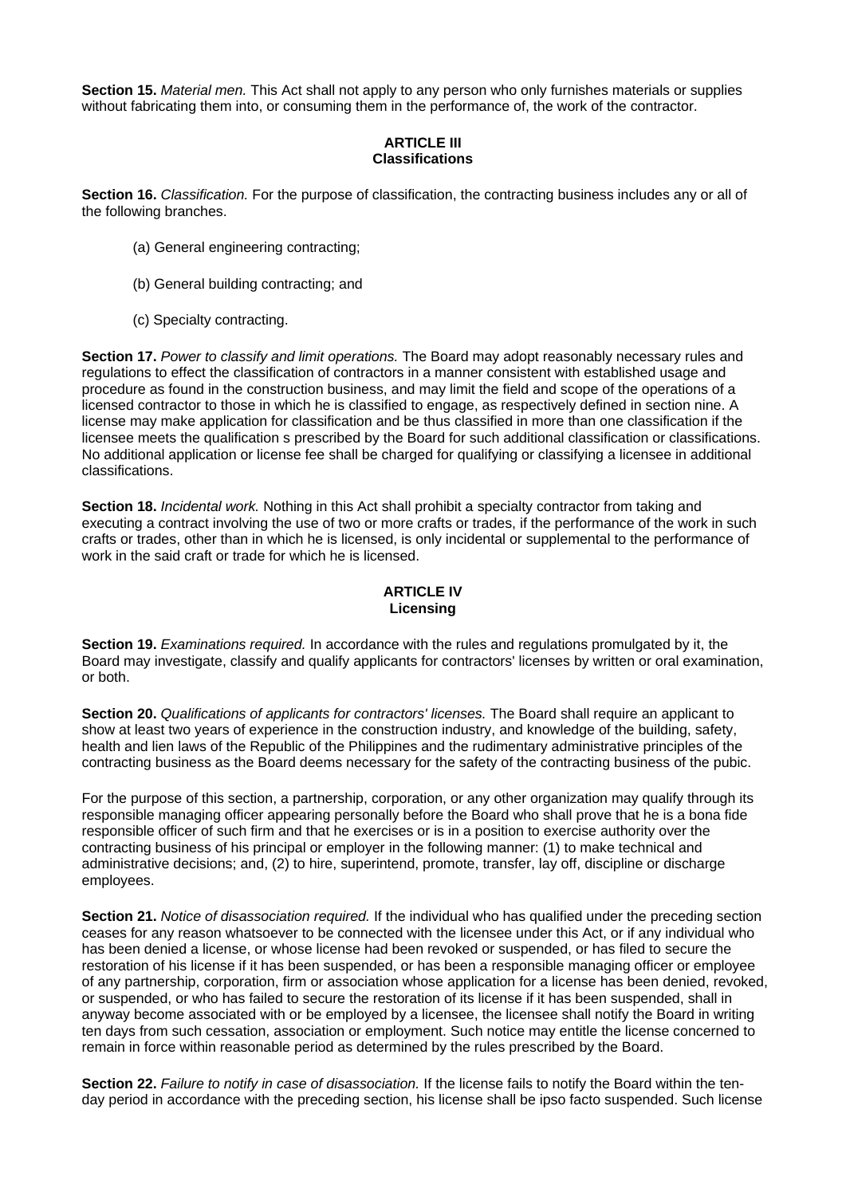**Section 15.** *Material men.* This Act shall not apply to any person who only furnishes materials or supplies without fabricating them into, or consuming them in the performance of, the work of the contractor.

#### **ARTICLE III Classifications**

**Section 16.** *Classification.* For the purpose of classification, the contracting business includes any or all of the following branches.

- (a) General engineering contracting;
- (b) General building contracting; and
- (c) Specialty contracting.

**Section 17.** *Power to classify and limit operations.* The Board may adopt reasonably necessary rules and regulations to effect the classification of contractors in a manner consistent with established usage and procedure as found in the construction business, and may limit the field and scope of the operations of a licensed contractor to those in which he is classified to engage, as respectively defined in section nine. A license may make application for classification and be thus classified in more than one classification if the licensee meets the qualification s prescribed by the Board for such additional classification or classifications. No additional application or license fee shall be charged for qualifying or classifying a licensee in additional classifications.

**Section 18.** *Incidental work.* Nothing in this Act shall prohibit a specialty contractor from taking and executing a contract involving the use of two or more crafts or trades, if the performance of the work in such crafts or trades, other than in which he is licensed, is only incidental or supplemental to the performance of work in the said craft or trade for which he is licensed.

# **ARTICLE IV Licensing**

**Section 19.** *Examinations required.* In accordance with the rules and regulations promulgated by it, the Board may investigate, classify and qualify applicants for contractors' licenses by written or oral examination, or both.

**Section 20.** *Qualifications of applicants for contractors' licenses.* The Board shall require an applicant to show at least two years of experience in the construction industry, and knowledge of the building, safety, health and lien laws of the Republic of the Philippines and the rudimentary administrative principles of the contracting business as the Board deems necessary for the safety of the contracting business of the pubic.

For the purpose of this section, a partnership, corporation, or any other organization may qualify through its responsible managing officer appearing personally before the Board who shall prove that he is a bona fide responsible officer of such firm and that he exercises or is in a position to exercise authority over the contracting business of his principal or employer in the following manner: (1) to make technical and administrative decisions; and, (2) to hire, superintend, promote, transfer, lay off, discipline or discharge employees.

**Section 21.** *Notice of disassociation required.* If the individual who has qualified under the preceding section ceases for any reason whatsoever to be connected with the licensee under this Act, or if any individual who has been denied a license, or whose license had been revoked or suspended, or has filed to secure the restoration of his license if it has been suspended, or has been a responsible managing officer or employee of any partnership, corporation, firm or association whose application for a license has been denied, revoked, or suspended, or who has failed to secure the restoration of its license if it has been suspended, shall in anyway become associated with or be employed by a licensee, the licensee shall notify the Board in writing ten days from such cessation, association or employment. Such notice may entitle the license concerned to remain in force within reasonable period as determined by the rules prescribed by the Board.

**Section 22.** *Failure to notify in case of disassociation.* If the license fails to notify the Board within the tenday period in accordance with the preceding section, his license shall be ipso facto suspended. Such license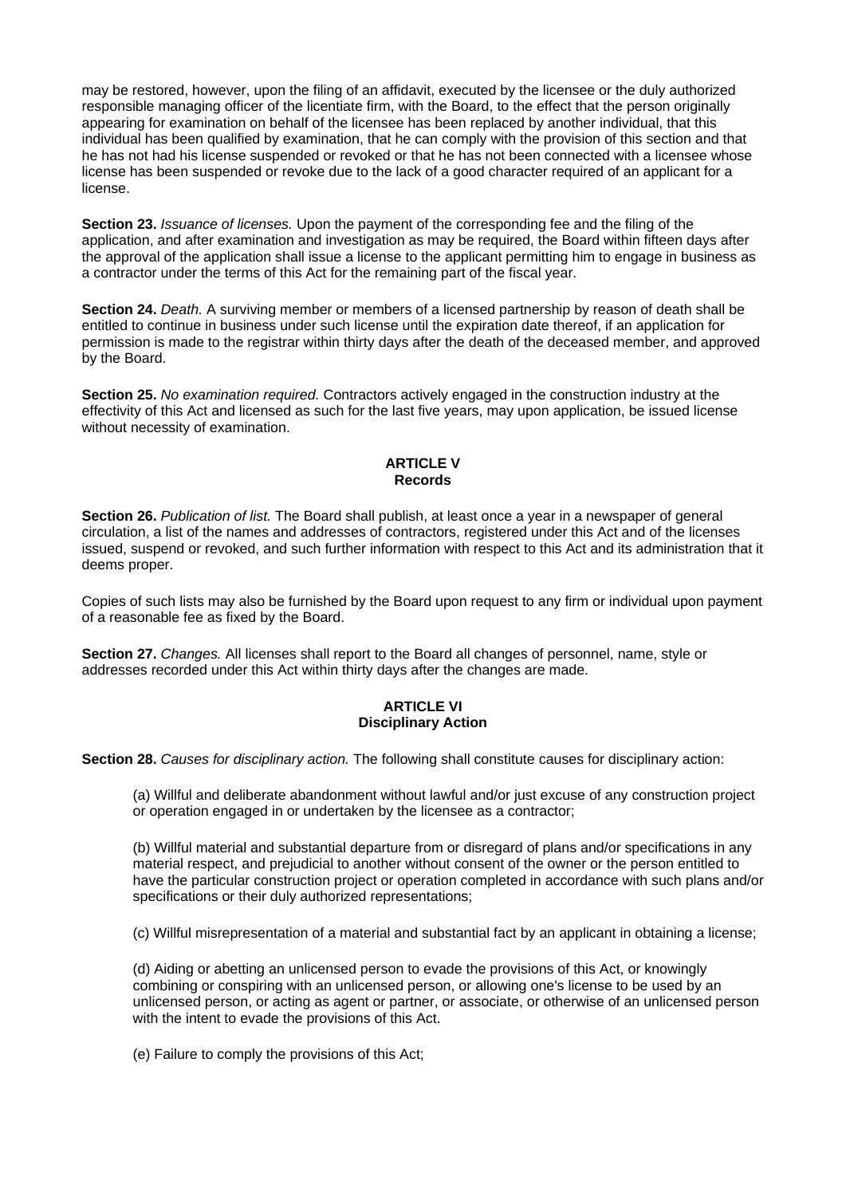may be restored, however, upon the filing of an affidavit, executed by the licensee or the duly authorized responsible managing officer of the licentiate firm, with the Board, to the effect that the person originally appearing for examination on behalf of the licensee has been replaced by another individual, that this individual has been qualified by examination, that he can comply with the provision of this section and that he has not had his license suspended or revoked or that he has not been connected with a licensee whose license has been suspended or revoke due to the lack of a good character required of an applicant for a license.

**Section 23.** *Issuance of licenses.* Upon the payment of the corresponding fee and the filing of the application, and after examination and investigation as may be required, the Board within fifteen days after the approval of the application shall issue a license to the applicant permitting him to engage in business as a contractor under the terms of this Act for the remaining part of the fiscal year.

**Section 24.** *Death.* A surviving member or members of a licensed partnership by reason of death shall be entitled to continue in business under such license until the expiration date thereof, if an application for permission is made to the registrar within thirty days after the death of the deceased member, and approved by the Board.

**Section 25.** *No examination required.* Contractors actively engaged in the construction industry at the effectivity of this Act and licensed as such for the last five years, may upon application, be issued license without necessity of examination.

### **ARTICLE V Records**

**Section 26.** *Publication of list.* The Board shall publish, at least once a year in a newspaper of general circulation, a list of the names and addresses of contractors, registered under this Act and of the licenses issued, suspend or revoked, and such further information with respect to this Act and its administration that it deems proper.

Copies of such lists may also be furnished by the Board upon request to any firm or individual upon payment of a reasonable fee as fixed by the Board.

**Section 27.** *Changes.* All licenses shall report to the Board all changes of personnel, name, style or addresses recorded under this Act within thirty days after the changes are made.

### **ARTICLE VI Disciplinary Action**

**Section 28.** *Causes for disciplinary action.* The following shall constitute causes for disciplinary action:

(a) Willful and deliberate abandonment without lawful and/or just excuse of any construction project or operation engaged in or undertaken by the licensee as a contractor;

(b) Willful material and substantial departure from or disregard of plans and/or specifications in any material respect, and prejudicial to another without consent of the owner or the person entitled to have the particular construction project or operation completed in accordance with such plans and/or specifications or their duly authorized representations;

(c) Willful misrepresentation of a material and substantial fact by an applicant in obtaining a license;

(d) Aiding or abetting an unlicensed person to evade the provisions of this Act, or knowingly combining or conspiring with an unlicensed person, or allowing one's license to be used by an unlicensed person, or acting as agent or partner, or associate, or otherwise of an unlicensed person with the intent to evade the provisions of this Act.

(e) Failure to comply the provisions of this Act;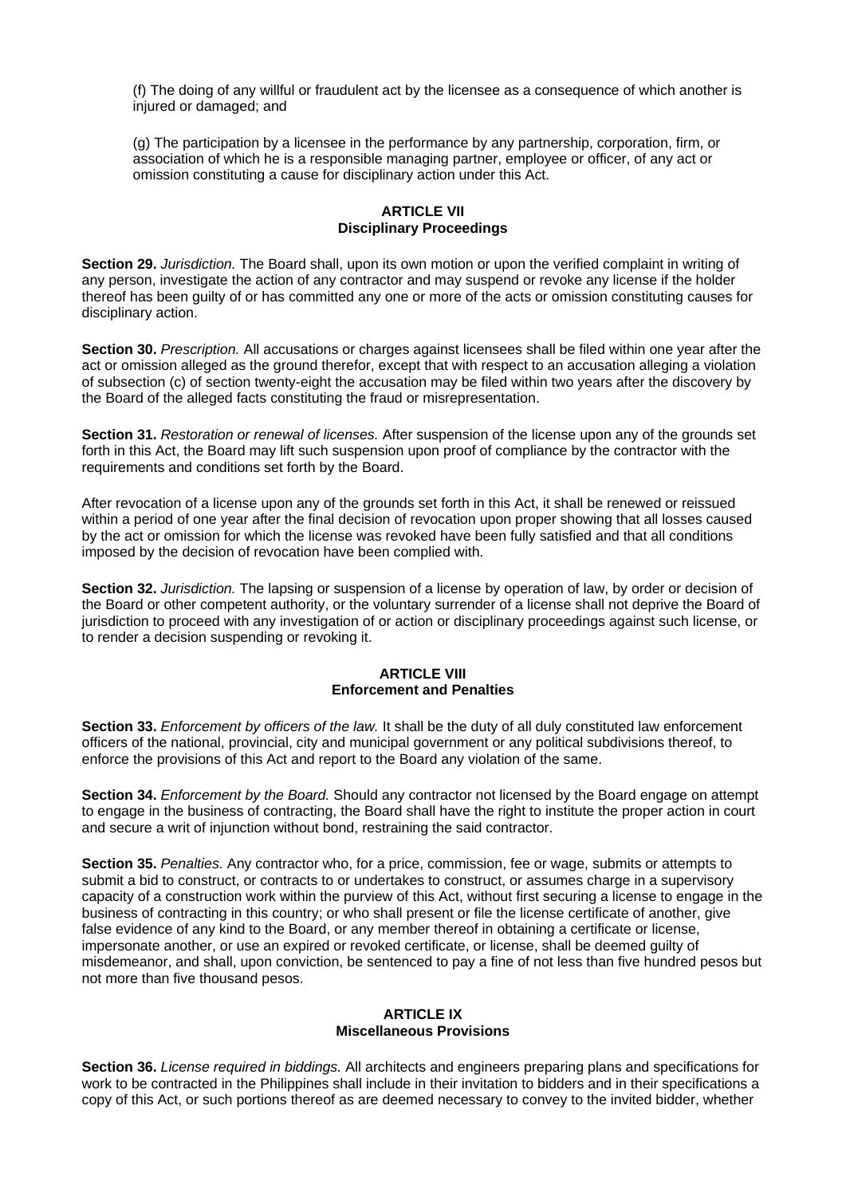(f) The doing of any willful or fraudulent act by the licensee as a consequence of which another is injured or damaged; and

(g) The participation by a licensee in the performance by any partnership, corporation, firm, or association of which he is a responsible managing partner, employee or officer, of any act or omission constituting a cause for disciplinary action under this Act.

## **ARTICLE VII Disciplinary Proceedings**

**Section 29.** *Jurisdiction.* The Board shall, upon its own motion or upon the verified complaint in writing of any person, investigate the action of any contractor and may suspend or revoke any license if the holder thereof has been guilty of or has committed any one or more of the acts or omission constituting causes for disciplinary action.

**Section 30.** *Prescription.* All accusations or charges against licensees shall be filed within one year after the act or omission alleged as the ground therefor, except that with respect to an accusation alleging a violation of subsection (c) of section twenty-eight the accusation may be filed within two years after the discovery by the Board of the alleged facts constituting the fraud or misrepresentation.

**Section 31.** *Restoration or renewal of licenses.* After suspension of the license upon any of the grounds set forth in this Act, the Board may lift such suspension upon proof of compliance by the contractor with the requirements and conditions set forth by the Board.

After revocation of a license upon any of the grounds set forth in this Act, it shall be renewed or reissued within a period of one year after the final decision of revocation upon proper showing that all losses caused by the act or omission for which the license was revoked have been fully satisfied and that all conditions imposed by the decision of revocation have been complied with.

**Section 32.** *Jurisdiction.* The lapsing or suspension of a license by operation of law, by order or decision of the Board or other competent authority, or the voluntary surrender of a license shall not deprive the Board of jurisdiction to proceed with any investigation of or action or disciplinary proceedings against such license, or to render a decision suspending or revoking it.

# **ARTICLE VIII Enforcement and Penalties**

**Section 33.** *Enforcement by officers of the law.* It shall be the duty of all duly constituted law enforcement officers of the national, provincial, city and municipal government or any political subdivisions thereof, to enforce the provisions of this Act and report to the Board any violation of the same.

**Section 34.** *Enforcement by the Board.* Should any contractor not licensed by the Board engage on attempt to engage in the business of contracting, the Board shall have the right to institute the proper action in court and secure a writ of injunction without bond, restraining the said contractor.

**Section 35.** *Penalties.* Any contractor who, for a price, commission, fee or wage, submits or attempts to submit a bid to construct, or contracts to or undertakes to construct, or assumes charge in a supervisory capacity of a construction work within the purview of this Act, without first securing a license to engage in the business of contracting in this country; or who shall present or file the license certificate of another, give false evidence of any kind to the Board, or any member thereof in obtaining a certificate or license, impersonate another, or use an expired or revoked certificate, or license, shall be deemed guilty of misdemeanor, and shall, upon conviction, be sentenced to pay a fine of not less than five hundred pesos but not more than five thousand pesos.

### **ARTICLE IX Miscellaneous Provisions**

**Section 36.** *License required in biddings.* All architects and engineers preparing plans and specifications for work to be contracted in the Philippines shall include in their invitation to bidders and in their specifications a copy of this Act, or such portions thereof as are deemed necessary to convey to the invited bidder, whether